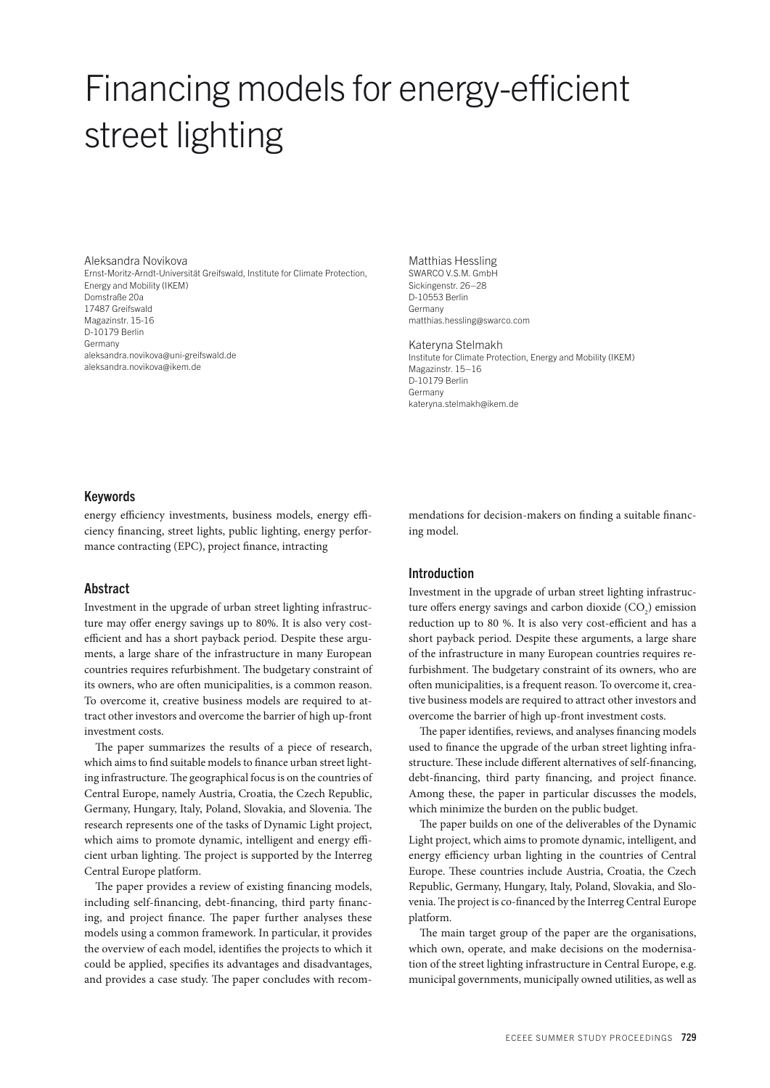# Financing models for energy-efficient street lighting

Aleksandra Novikova Ernst-Moritz-Arndt-Universität Greifswald, Institute for Climate Protection, Energy and Mobility (IKEM) Domstraße 20a 17487 Greifswald Magazinstr. 15-16 D-10179 Berlin Germany aleksandra.novikova@uni-greifswald.de aleksandra.novikova@ikem.de

Matthias Hessling SWARCO V.S.M. GmbH Sickingenstr. 26–28 D-10553 Berlin Germany matthias.hessling@swarco.com

#### Kateryna Stelmakh

Institute for Climate Protection, Energy and Mobility (IKEM) Magazinstr. 15–16 D-10179 Berlin Germany kateryna.stelmakh@ikem.de

## Keywords

energy efficiency investments, business models, energy efficiency financing, street lights, public lighting, energy performance contracting (EPC), project finance, intracting

# Abstract

Investment in the upgrade of urban street lighting infrastructure may offer energy savings up to 80%. It is also very costefficient and has a short payback period. Despite these arguments, a large share of the infrastructure in many European countries requires refurbishment. The budgetary constraint of its owners, who are often municipalities, is a common reason. To overcome it, creative business models are required to attract other investors and overcome the barrier of high up-front investment costs.

The paper summarizes the results of a piece of research, which aims to find suitable models to finance urban street lighting infrastructure. The geographical focus is on the countries of Central Europe, namely Austria, Croatia, the Czech Republic, Germany, Hungary, Italy, Poland, Slovakia, and Slovenia. The research represents one of the tasks of Dynamic Light project, which aims to promote dynamic, intelligent and energy efficient urban lighting. The project is supported by the Interreg Central Europe platform.

The paper provides a review of existing financing models, including self-financing, debt-financing, third party financing, and project finance. The paper further analyses these models using a common framework. In particular, it provides the overview of each model, identifies the projects to which it could be applied, specifies its advantages and disadvantages, and provides a case study. The paper concludes with recommendations for decision-makers on finding a suitable financing model.

## Introduction

Investment in the upgrade of urban street lighting infrastructure offers energy savings and carbon dioxide  $(CO_2)$  emission reduction up to 80 %. It is also very cost-efficient and has a short payback period. Despite these arguments, a large share of the infrastructure in many European countries requires refurbishment. The budgetary constraint of its owners, who are often municipalities, is a frequent reason. To overcome it, creative business models are required to attract other investors and overcome the barrier of high up-front investment costs.

The paper identifies, reviews, and analyses financing models used to finance the upgrade of the urban street lighting infrastructure. These include different alternatives of self-financing, debt-financing, third party financing, and project finance. Among these, the paper in particular discusses the models, which minimize the burden on the public budget.

The paper builds on one of the deliverables of the Dynamic Light project, which aims to promote dynamic, intelligent, and energy efficiency urban lighting in the countries of Central Europe. These countries include Austria, Croatia, the Czech Republic, Germany, Hungary, Italy, Poland, Slovakia, and Slovenia. The project is co-financed by the Interreg Central Europe platform.

The main target group of the paper are the organisations, which own, operate, and make decisions on the modernisation of the street lighting infrastructure in Central Europe, e.g. municipal governments, municipally owned utilities, as well as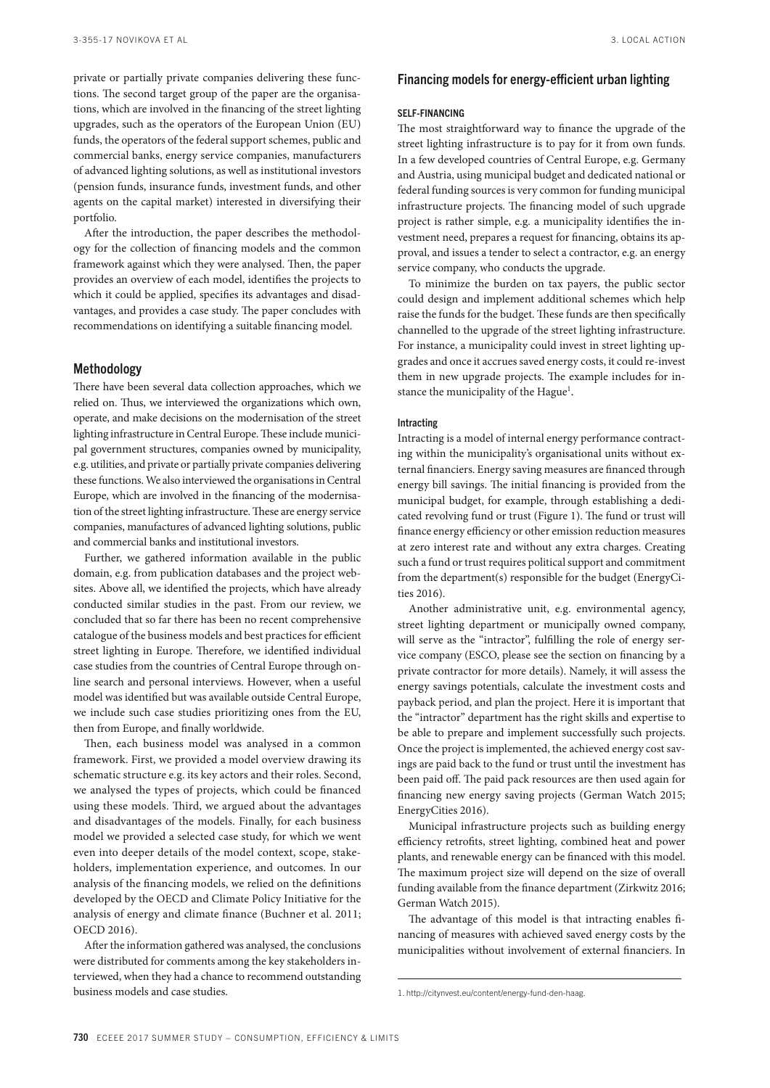private or partially private companies delivering these functions. The second target group of the paper are the organisations, which are involved in the financing of the street lighting upgrades, such as the operators of the European Union (EU) funds, the operators of the federal support schemes, public and commercial banks, energy service companies, manufacturers of advanced lighting solutions, as well as institutional investors (pension funds, insurance funds, investment funds, and other agents on the capital market) interested in diversifying their portfolio.

After the introduction, the paper describes the methodology for the collection of financing models and the common framework against which they were analysed. Then, the paper provides an overview of each model, identifies the projects to which it could be applied, specifies its advantages and disadvantages, and provides a case study. The paper concludes with recommendations on identifying a suitable financing model.

# Methodology

There have been several data collection approaches, which we relied on. Thus, we interviewed the organizations which own, operate, and make decisions on the modernisation of the street lighting infrastructure in Central Europe. These include municipal government structures, companies owned by municipality, e.g. utilities, and private or partially private companies delivering these functions. We also interviewed the organisations in Central Europe, which are involved in the financing of the modernisation of the street lighting infrastructure. These are energy service companies, manufactures of advanced lighting solutions, public and commercial banks and institutional investors.

Further, we gathered information available in the public domain, e.g. from publication databases and the project websites. Above all, we identified the projects, which have already conducted similar studies in the past. From our review, we concluded that so far there has been no recent comprehensive catalogue of the business models and best practices for efficient street lighting in Europe. Therefore, we identified individual case studies from the countries of Central Europe through online search and personal interviews. However, when a useful model was identified but was available outside Central Europe, we include such case studies prioritizing ones from the EU, then from Europe, and finally worldwide.

Then, each business model was analysed in a common framework. First, we provided a model overview drawing its schematic structure e.g. its key actors and their roles. Second, we analysed the types of projects, which could be financed using these models. Third, we argued about the advantages and disadvantages of the models. Finally, for each business model we provided a selected case study, for which we went even into deeper details of the model context, scope, stakeholders, implementation experience, and outcomes. In our analysis of the financing models, we relied on the definitions developed by the OECD and Climate Policy Initiative for the analysis of energy and climate finance (Buchner et al. 2011; OECD 2016).

After the information gathered was analysed, the conclusions were distributed for comments among the key stakeholders interviewed, when they had a chance to recommend outstanding business models and case studies.

## Financing models for energy-efficient urban lighting

#### SELF-FINANCING

The most straightforward way to finance the upgrade of the street lighting infrastructure is to pay for it from own funds. In a few developed countries of Central Europe, e.g. Germany and Austria, using municipal budget and dedicated national or federal funding sources is very common for funding municipal infrastructure projects. The financing model of such upgrade project is rather simple, e.g. a municipality identifies the investment need, prepares a request for financing, obtains its approval, and issues a tender to select a contractor, e.g. an energy service company, who conducts the upgrade.

To minimize the burden on tax payers, the public sector could design and implement additional schemes which help raise the funds for the budget. These funds are then specifically channelled to the upgrade of the street lighting infrastructure. For instance, a municipality could invest in street lighting upgrades and once it accrues saved energy costs, it could re-invest them in new upgrade projects. The example includes for instance the municipality of the Hague<sup>1</sup>.

#### Intracting

Intracting is a model of internal energy performance contracting within the municipality's organisational units without external financiers. Energy saving measures are financed through energy bill savings. The initial financing is provided from the municipal budget, for example, through establishing a dedicated revolving fund or trust (Figure 1). The fund or trust will finance energy efficiency or other emission reduction measures at zero interest rate and without any extra charges. Creating such a fund or trust requires political support and commitment from the department(s) responsible for the budget (EnergyCities 2016).

Another administrative unit, e.g. environmental agency, street lighting department or municipally owned company, will serve as the "intractor", fulfilling the role of energy service company (ESCO, please see the section on financing by a private contractor for more details). Namely, it will assess the energy savings potentials, calculate the investment costs and payback period, and plan the project. Here it is important that the "intractor" department has the right skills and expertise to be able to prepare and implement successfully such projects. Once the project is implemented, the achieved energy cost savings are paid back to the fund or trust until the investment has been paid off. The paid pack resources are then used again for financing new energy saving projects (German Watch 2015; EnergyCities 2016).

Municipal infrastructure projects such as building energy efficiency retrofits, street lighting, combined heat and power plants, and renewable energy can be financed with this model. The maximum project size will depend on the size of overall funding available from the finance department (Zirkwitz 2016; German Watch 2015).

The advantage of this model is that intracting enables financing of measures with achieved saved energy costs by the municipalities without involvement of external financiers. In

<sup>1.</sup> http://citynvest.eu/content/energy-fund-den-haag.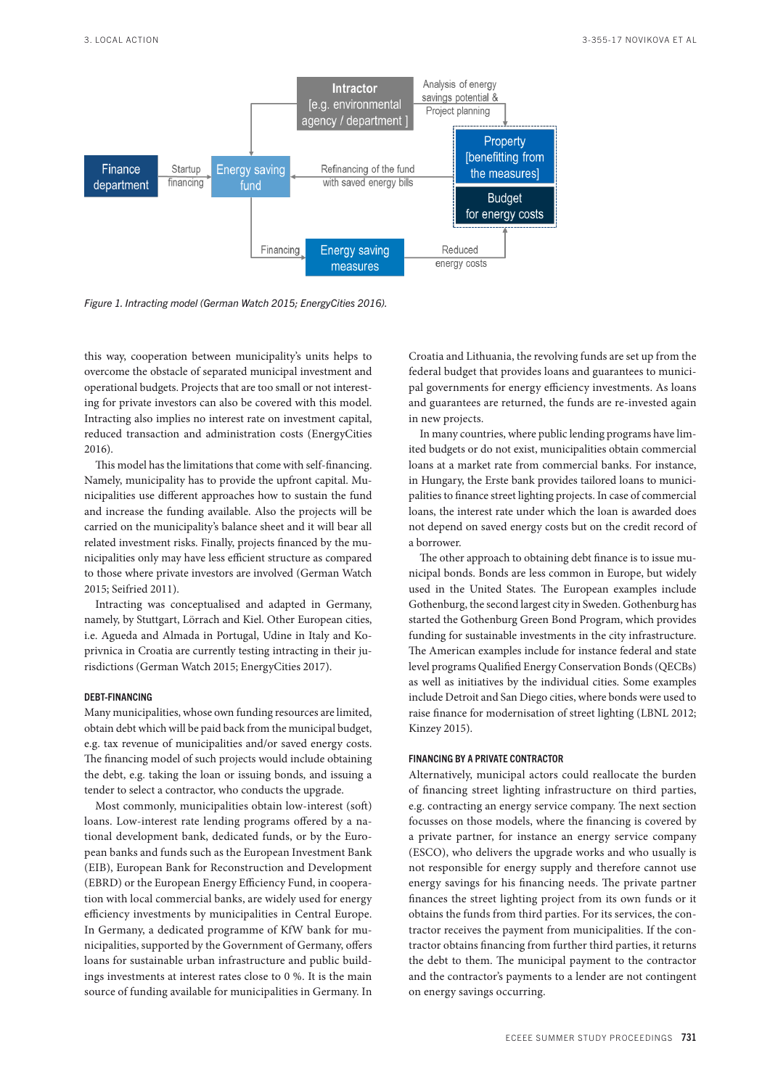

*Figure 1. Intracting model (German Watch 2015; EnergyCities 2016).*

this way, cooperation between municipality's units helps to overcome the obstacle of separated municipal investment and operational budgets. Projects that are too small or not interesting for private investors can also be covered with this model. Intracting also implies no interest rate on investment capital, reduced transaction and administration costs (EnergyCities 2016).

This model has the limitations that come with self-financing. Namely, municipality has to provide the upfront capital. Municipalities use different approaches how to sustain the fund and increase the funding available. Also the projects will be carried on the municipality's balance sheet and it will bear all related investment risks. Finally, projects financed by the municipalities only may have less efficient structure as compared to those where private investors are involved (German Watch 2015; Seifried 2011).

Intracting was conceptualised and adapted in Germany, namely, by Stuttgart, Lörrach and Kiel. Other European cities, i.e. Agueda and Almada in Portugal, Udine in Italy and Koprivnica in Croatia are currently testing intracting in their jurisdictions (German Watch 2015; EnergyCities 2017).

#### DEBT-FINANCING

Many municipalities, whose own funding resources are limited, obtain debt which will be paid back from the municipal budget, e.g. tax revenue of municipalities and/or saved energy costs. The financing model of such projects would include obtaining the debt, e.g. taking the loan or issuing bonds, and issuing a tender to select a contractor, who conducts the upgrade.

Most commonly, municipalities obtain low-interest (soft) loans. Low-interest rate lending programs offered by a national development bank, dedicated funds, or by the European banks and funds such as the European Investment Bank (EIB), European Bank for Reconstruction and Development (EBRD) or the European Energy Efficiency Fund, in cooperation with local commercial banks, are widely used for energy efficiency investments by municipalities in Central Europe. In Germany, a dedicated programme of KfW bank for municipalities, supported by the Government of Germany, offers loans for sustainable urban infrastructure and public buildings investments at interest rates close to 0 %. It is the main source of funding available for municipalities in Germany. In

Croatia and Lithuania, the revolving funds are set up from the federal budget that provides loans and guarantees to municipal governments for energy efficiency investments. As loans and guarantees are returned, the funds are re-invested again in new projects.

In many countries, where public lending programs have limited budgets or do not exist, municipalities obtain commercial loans at a market rate from commercial banks. For instance, in Hungary, the Erste bank provides tailored loans to municipalities to finance street lighting projects. In case of commercial loans, the interest rate under which the loan is awarded does not depend on saved energy costs but on the credit record of a borrower.

The other approach to obtaining debt finance is to issue municipal bonds. Bonds are less common in Europe, but widely used in the United States. The European examples include Gothenburg, the second largest city in Sweden. Gothenburg has started the Gothenburg Green Bond Program, which provides funding for sustainable investments in the city infrastructure. The American examples include for instance federal and state level programs Qualified Energy Conservation Bonds (QECBs) as well as initiatives by the individual cities. Some examples include Detroit and San Diego cities, where bonds were used to raise finance for modernisation of street lighting (LBNL 2012; Kinzey 2015).

# FINANCING BY A PRIVATE CONTRACTOR

Alternatively, municipal actors could reallocate the burden of financing street lighting infrastructure on third parties, e.g. contracting an energy service company. The next section focusses on those models, where the financing is covered by a private partner, for instance an energy service company (ESCO), who delivers the upgrade works and who usually is not responsible for energy supply and therefore cannot use energy savings for his financing needs. The private partner finances the street lighting project from its own funds or it obtains the funds from third parties. For its services, the contractor receives the payment from municipalities. If the contractor obtains financing from further third parties, it returns the debt to them. The municipal payment to the contractor and the contractor's payments to a lender are not contingent on energy savings occurring.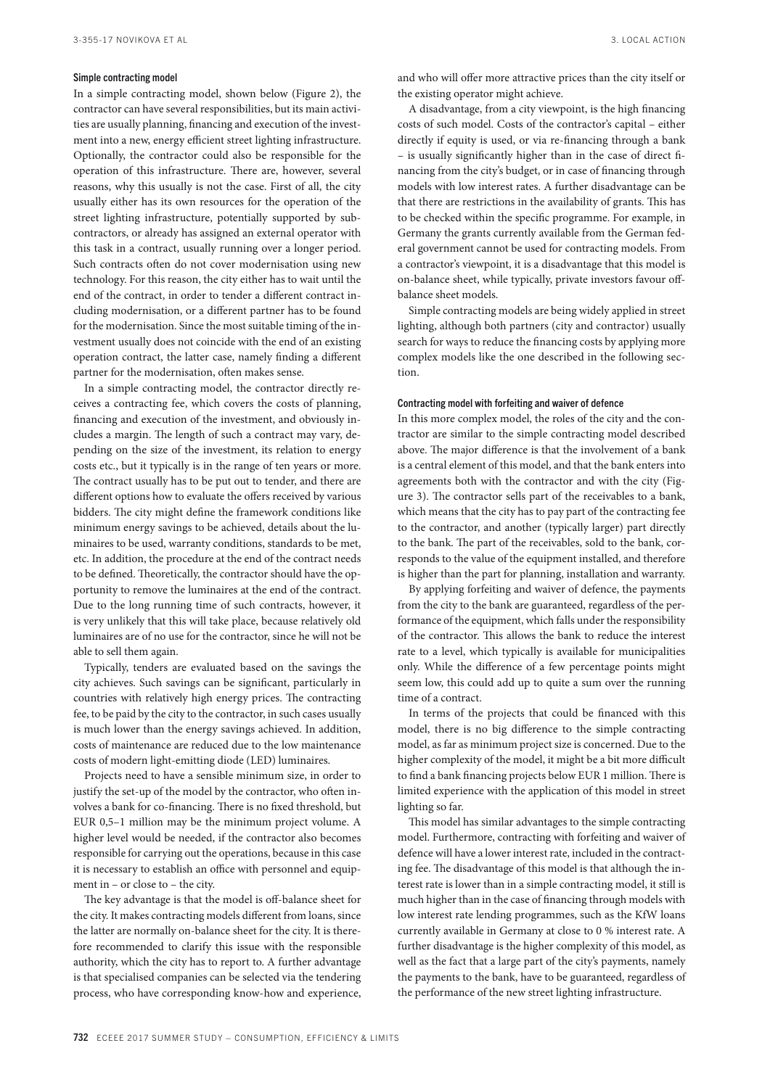#### Simple contracting model

In a simple contracting model, shown below (Figure 2), the contractor can have several responsibilities, but its main activities are usually planning, financing and execution of the investment into a new, energy efficient street lighting infrastructure. Optionally, the contractor could also be responsible for the operation of this infrastructure. There are, however, several reasons, why this usually is not the case. First of all, the city usually either has its own resources for the operation of the street lighting infrastructure, potentially supported by subcontractors, or already has assigned an external operator with this task in a contract, usually running over a longer period. Such contracts often do not cover modernisation using new technology. For this reason, the city either has to wait until the end of the contract, in order to tender a different contract including modernisation, or a different partner has to be found for the modernisation. Since the most suitable timing of the investment usually does not coincide with the end of an existing operation contract, the latter case, namely finding a different partner for the modernisation, often makes sense.

In a simple contracting model, the contractor directly receives a contracting fee, which covers the costs of planning, financing and execution of the investment, and obviously includes a margin. The length of such a contract may vary, depending on the size of the investment, its relation to energy costs etc., but it typically is in the range of ten years or more. The contract usually has to be put out to tender, and there are different options how to evaluate the offers received by various bidders. The city might define the framework conditions like minimum energy savings to be achieved, details about the luminaires to be used, warranty conditions, standards to be met, etc. In addition, the procedure at the end of the contract needs to be defined. Theoretically, the contractor should have the opportunity to remove the luminaires at the end of the contract. Due to the long running time of such contracts, however, it is very unlikely that this will take place, because relatively old luminaires are of no use for the contractor, since he will not be able to sell them again.

Typically, tenders are evaluated based on the savings the city achieves. Such savings can be significant, particularly in countries with relatively high energy prices. The contracting fee, to be paid by the city to the contractor, in such cases usually is much lower than the energy savings achieved. In addition, costs of maintenance are reduced due to the low maintenance costs of modern light-emitting diode (LED) luminaires.

Projects need to have a sensible minimum size, in order to justify the set-up of the model by the contractor, who often involves a bank for co-financing. There is no fixed threshold, but EUR 0,5–1 million may be the minimum project volume. A higher level would be needed, if the contractor also becomes responsible for carrying out the operations, because in this case it is necessary to establish an office with personnel and equipment in – or close to – the city.

The key advantage is that the model is off-balance sheet for the city. It makes contracting models different from loans, since the latter are normally on-balance sheet for the city. It is therefore recommended to clarify this issue with the responsible authority, which the city has to report to. A further advantage is that specialised companies can be selected via the tendering process, who have corresponding know-how and experience, and who will offer more attractive prices than the city itself or the existing operator might achieve.

A disadvantage, from a city viewpoint, is the high financing costs of such model. Costs of the contractor's capital – either directly if equity is used, or via re-financing through a bank – is usually significantly higher than in the case of direct financing from the city's budget, or in case of financing through models with low interest rates. A further disadvantage can be that there are restrictions in the availability of grants. This has to be checked within the specific programme. For example, in Germany the grants currently available from the German federal government cannot be used for contracting models. From a contractor's viewpoint, it is a disadvantage that this model is on-balance sheet, while typically, private investors favour offbalance sheet models.

Simple contracting models are being widely applied in street lighting, although both partners (city and contractor) usually search for ways to reduce the financing costs by applying more complex models like the one described in the following section.

## Contracting model with forfeiting and waiver of defence

In this more complex model, the roles of the city and the contractor are similar to the simple contracting model described above. The major difference is that the involvement of a bank is a central element of this model, and that the bank enters into agreements both with the contractor and with the city (Figure 3). The contractor sells part of the receivables to a bank, which means that the city has to pay part of the contracting fee to the contractor, and another (typically larger) part directly to the bank. The part of the receivables, sold to the bank, corresponds to the value of the equipment installed, and therefore is higher than the part for planning, installation and warranty.

By applying forfeiting and waiver of defence, the payments from the city to the bank are guaranteed, regardless of the performance of the equipment, which falls under the responsibility of the contractor. This allows the bank to reduce the interest rate to a level, which typically is available for municipalities only. While the difference of a few percentage points might seem low, this could add up to quite a sum over the running time of a contract.

In terms of the projects that could be financed with this model, there is no big difference to the simple contracting model, as far as minimum project size is concerned. Due to the higher complexity of the model, it might be a bit more difficult to find a bank financing projects below EUR 1 million. There is limited experience with the application of this model in street lighting so far.

This model has similar advantages to the simple contracting model. Furthermore, contracting with forfeiting and waiver of defence will have a lower interest rate, included in the contracting fee. The disadvantage of this model is that although the interest rate is lower than in a simple contracting model, it still is much higher than in the case of financing through models with low interest rate lending programmes, such as the KfW loans currently available in Germany at close to 0 % interest rate. A further disadvantage is the higher complexity of this model, as well as the fact that a large part of the city's payments, namely the payments to the bank, have to be guaranteed, regardless of the performance of the new street lighting infrastructure.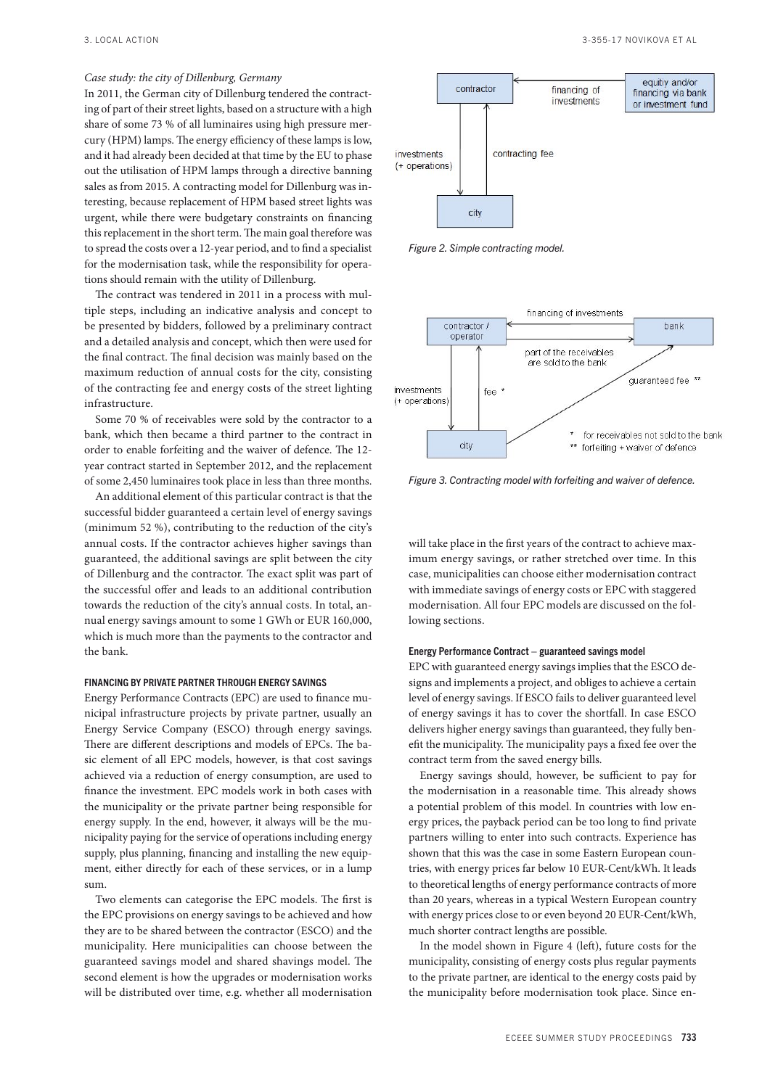# *Case study: the city of Dillenburg, Germany*

In 2011, the German city of Dillenburg tendered the contracting of part of their street lights, based on a structure with a high share of some 73 % of all luminaires using high pressure mercury (HPM) lamps. The energy efficiency of these lamps is low, and it had already been decided at that time by the EU to phase out the utilisation of HPM lamps through a directive banning sales as from 2015. A contracting model for Dillenburg was interesting, because replacement of HPM based street lights was urgent, while there were budgetary constraints on financing this replacement in the short term. The main goal therefore was to spread the costs over a 12-year period, and to find a specialist for the modernisation task, while the responsibility for operations should remain with the utility of Dillenburg.

The contract was tendered in 2011 in a process with multiple steps, including an indicative analysis and concept to be presented by bidders, followed by a preliminary contract and a detailed analysis and concept, which then were used for the final contract. The final decision was mainly based on the maximum reduction of annual costs for the city, consisting of the contracting fee and energy costs of the street lighting infrastructure.

Some 70 % of receivables were sold by the contractor to a bank, which then became a third partner to the contract in order to enable forfeiting and the waiver of defence. The 12 year contract started in September 2012, and the replacement of some 2,450 luminaires took place in less than three months.

An additional element of this particular contract is that the successful bidder guaranteed a certain level of energy savings (minimum 52 %), contributing to the reduction of the city's annual costs. If the contractor achieves higher savings than guaranteed, the additional savings are split between the city of Dillenburg and the contractor. The exact split was part of the successful offer and leads to an additional contribution towards the reduction of the city's annual costs. In total, annual energy savings amount to some 1 GWh or EUR 160,000, which is much more than the payments to the contractor and the bank.

## FINANCING BY PRIVATE PARTNER THROUGH ENERGY SAVINGS

Energy Performance Contracts (EPC) are used to finance municipal infrastructure projects by private partner, usually an Energy Service Company (ESCO) through energy savings. There are different descriptions and models of EPCs. The basic element of all EPC models, however, is that cost savings achieved via a reduction of energy consumption, are used to finance the investment. EPC models work in both cases with the municipality or the private partner being responsible for energy supply. In the end, however, it always will be the municipality paying for the service of operations including energy supply, plus planning, financing and installing the new equipment, either directly for each of these services, or in a lump sum.

Two elements can categorise the EPC models. The first is the EPC provisions on energy savings to be achieved and how they are to be shared between the contractor (ESCO) and the municipality. Here municipalities can choose between the guaranteed savings model and shared shavings model. The second element is how the upgrades or modernisation works will be distributed over time, e.g. whether all modernisation







*Figure 3. Contracting model with forfeiting and waiver of defence.*

will take place in the first years of the contract to achieve maximum energy savings, or rather stretched over time. In this case, municipalities can choose either modernisation contract with immediate savings of energy costs or EPC with staggered modernisation. All four EPC models are discussed on the following sections.

#### Energy Performance Contract – guaranteed savings model

EPC with guaranteed energy savings implies that the ESCO designs and implements a project, and obliges to achieve a certain level of energy savings. If ESCO fails to deliver guaranteed level of energy savings it has to cover the shortfall. In case ESCO delivers higher energy savings than guaranteed, they fully benefit the municipality. The municipality pays a fixed fee over the contract term from the saved energy bills.

Energy savings should, however, be sufficient to pay for the modernisation in a reasonable time. This already shows a potential problem of this model. In countries with low energy prices, the payback period can be too long to find private partners willing to enter into such contracts. Experience has shown that this was the case in some Eastern European countries, with energy prices far below 10 EUR-Cent/kWh. It leads to theoretical lengths of energy performance contracts of more than 20 years, whereas in a typical Western European country with energy prices close to or even beyond 20 EUR-Cent/kWh, much shorter contract lengths are possible.

In the model shown in Figure 4 (left), future costs for the municipality, consisting of energy costs plus regular payments to the private partner, are identical to the energy costs paid by the municipality before modernisation took place. Since en-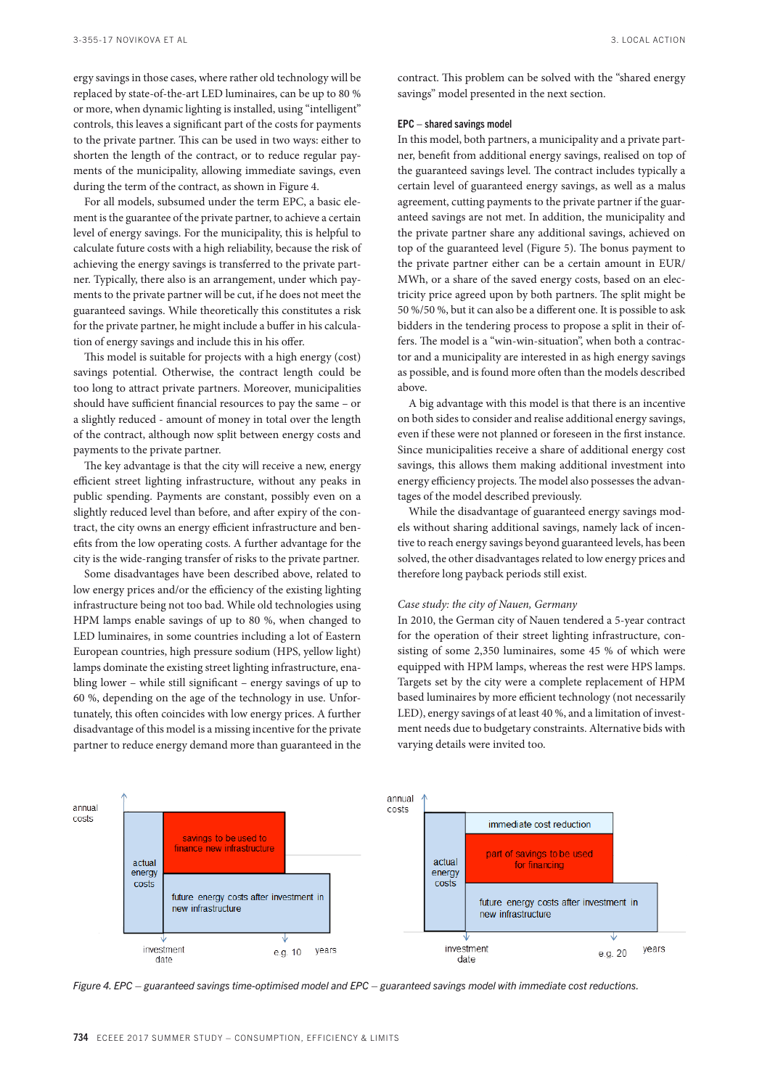ergy savings in those cases, where rather old technology will be replaced by state-of-the-art LED luminaires, can be up to 80 % or more, when dynamic lighting is installed, using "intelligent" controls, this leaves a significant part of the costs for payments to the private partner. This can be used in two ways: either to shorten the length of the contract, or to reduce regular payments of the municipality, allowing immediate savings, even during the term of the contract, as shown in Figure 4.

For all models, subsumed under the term EPC, a basic element is the guarantee of the private partner, to achieve a certain level of energy savings. For the municipality, this is helpful to calculate future costs with a high reliability, because the risk of achieving the energy savings is transferred to the private partner. Typically, there also is an arrangement, under which payments to the private partner will be cut, if he does not meet the guaranteed savings. While theoretically this constitutes a risk for the private partner, he might include a buffer in his calculation of energy savings and include this in his offer.

This model is suitable for projects with a high energy (cost) savings potential. Otherwise, the contract length could be too long to attract private partners. Moreover, municipalities should have sufficient financial resources to pay the same – or a slightly reduced - amount of money in total over the length of the contract, although now split between energy costs and payments to the private partner.

The key advantage is that the city will receive a new, energy efficient street lighting infrastructure, without any peaks in public spending. Payments are constant, possibly even on a slightly reduced level than before, and after expiry of the contract, the city owns an energy efficient infrastructure and benefits from the low operating costs. A further advantage for the city is the wide-ranging transfer of risks to the private partner.

Some disadvantages have been described above, related to low energy prices and/or the efficiency of the existing lighting infrastructure being not too bad. While old technologies using HPM lamps enable savings of up to 80 %, when changed to LED luminaires, in some countries including a lot of Eastern European countries, high pressure sodium (HPS, yellow light) lamps dominate the existing street lighting infrastructure, enabling lower – while still significant – energy savings of up to 60 %, depending on the age of the technology in use. Unfortunately, this often coincides with low energy prices. A further disadvantage of this model is a missing incentive for the private partner to reduce energy demand more than guaranteed in the contract. This problem can be solved with the "shared energy savings" model presented in the next section.

## EPC – shared savings model

In this model, both partners, a municipality and a private partner, benefit from additional energy savings, realised on top of the guaranteed savings level. The contract includes typically a certain level of guaranteed energy savings, as well as a malus agreement, cutting payments to the private partner if the guaranteed savings are not met. In addition, the municipality and the private partner share any additional savings, achieved on top of the guaranteed level (Figure 5). The bonus payment to the private partner either can be a certain amount in EUR/ MWh, or a share of the saved energy costs, based on an electricity price agreed upon by both partners. The split might be 50 %/50 %, but it can also be a different one. It is possible to ask bidders in the tendering process to propose a split in their offers. The model is a "win-win-situation", when both a contractor and a municipality are interested in as high energy savings as possible, and is found more often than the models described above.

A big advantage with this model is that there is an incentive on both sides to consider and realise additional energy savings, even if these were not planned or foreseen in the first instance. Since municipalities receive a share of additional energy cost savings, this allows them making additional investment into energy efficiency projects. The model also possesses the advantages of the model described previously.

While the disadvantage of guaranteed energy savings models without sharing additional savings, namely lack of incentive to reach energy savings beyond guaranteed levels, has been solved, the other disadvantages related to low energy prices and therefore long payback periods still exist.

#### *Case study: the city of Nauen, Germany*

In 2010, the German city of Nauen tendered a 5-year contract for the operation of their street lighting infrastructure, consisting of some 2,350 luminaires, some 45 % of which were equipped with HPM lamps, whereas the rest were HPS lamps. Targets set by the city were a complete replacement of HPM based luminaires by more efficient technology (not necessarily LED), energy savings of at least 40 %, and a limitation of investment needs due to budgetary constraints. Alternative bids with varying details were invited too.



*Figure 4. EPC – guaranteed savings time-optimised model and EPC – guaranteed savings model with immediate cost reductions.*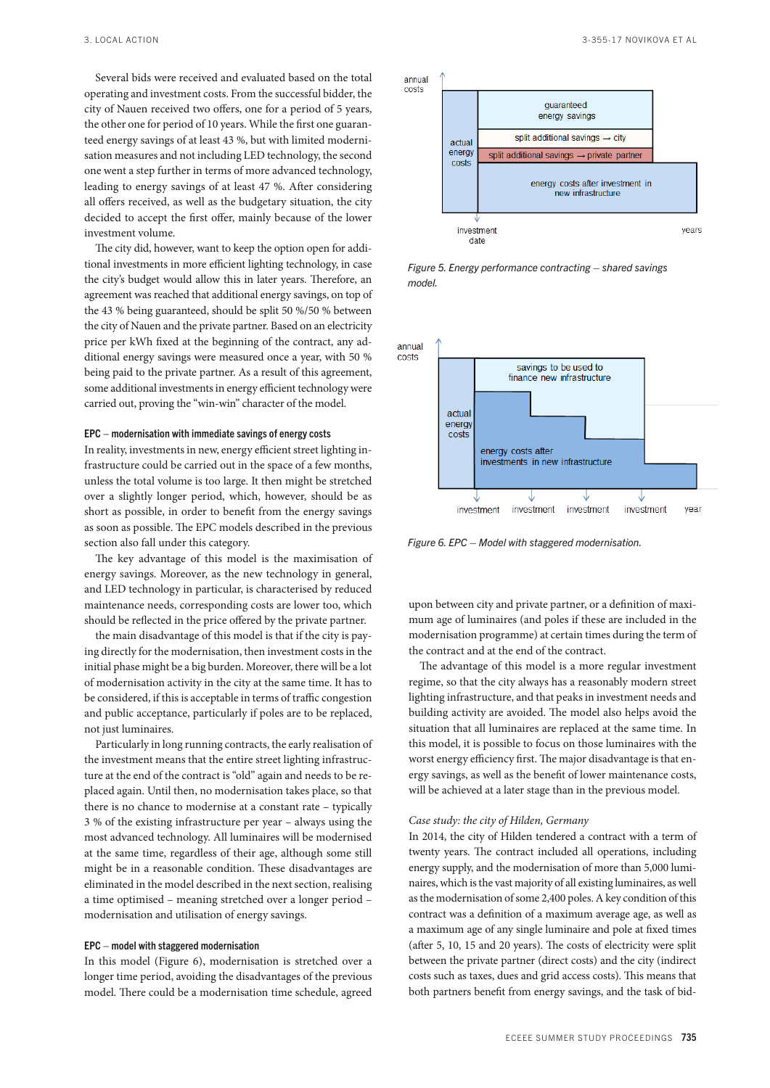Several bids were received and evaluated based on the total operating and investment costs. From the successful bidder, the city of Nauen received two offers, one for a period of 5 years, the other one for period of 10 years. While the first one guaranteed energy savings of at least 43 %, but with limited modernisation measures and not including LED technology, the second one went a step further in terms of more advanced technology, leading to energy savings of at least 47 %. After considering all offers received, as well as the budgetary situation, the city decided to accept the first offer, mainly because of the lower investment volume.

The city did, however, want to keep the option open for additional investments in more efficient lighting technology, in case the city's budget would allow this in later years. Therefore, an agreement was reached that additional energy savings, on top of the 43 % being guaranteed, should be split 50 %/50 % between the city of Nauen and the private partner. Based on an electricity price per kWh fixed at the beginning of the contract, any additional energy savings were measured once a year, with 50 % being paid to the private partner. As a result of this agreement, some additional investments in energy efficient technology were carried out, proving the "win-win" character of the model.

## EPC – modernisation with immediate savings of energy costs

In reality, investments in new, energy efficient street lighting infrastructure could be carried out in the space of a few months, unless the total volume is too large. It then might be stretched over a slightly longer period, which, however, should be as short as possible, in order to benefit from the energy savings as soon as possible. The EPC models described in the previous section also fall under this category.

The key advantage of this model is the maximisation of energy savings. Moreover, as the new technology in general, and LED technology in particular, is characterised by reduced maintenance needs, corresponding costs are lower too, which should be reflected in the price offered by the private partner.

the main disadvantage of this model is that if the city is paying directly for the modernisation, then investment costs in the initial phase might be a big burden. Moreover, there will be a lot of modernisation activity in the city at the same time. It has to be considered, if this is acceptable in terms of traffic congestion and public acceptance, particularly if poles are to be replaced, not just luminaires.

Particularly in long running contracts, the early realisation of the investment means that the entire street lighting infrastructure at the end of the contract is "old" again and needs to be replaced again. Until then, no modernisation takes place, so that there is no chance to modernise at a constant rate – typically 3 % of the existing infrastructure per year – always using the most advanced technology. All luminaires will be modernised at the same time, regardless of their age, although some still might be in a reasonable condition. These disadvantages are eliminated in the model described in the next section, realising a time optimised – meaning stretched over a longer period – modernisation and utilisation of energy savings.

#### EPC – model with staggered modernisation

In this model (Figure 6), modernisation is stretched over a longer time period, avoiding the disadvantages of the previous model. There could be a modernisation time schedule, agreed



*Figure 5. Energy performance contracting – shared savings model.*



*Figure 6. EPC – Model with staggered modernisation.*

upon between city and private partner, or a definition of maximum age of luminaires (and poles if these are included in the modernisation programme) at certain times during the term of the contract and at the end of the contract.

The advantage of this model is a more regular investment regime, so that the city always has a reasonably modern street lighting infrastructure, and that peaks in investment needs and building activity are avoided. The model also helps avoid the situation that all luminaires are replaced at the same time. In this model, it is possible to focus on those luminaires with the worst energy efficiency first. The major disadvantage is that energy savings, as well as the benefit of lower maintenance costs, will be achieved at a later stage than in the previous model.

#### *Case study: the city of Hilden, Germany*

In 2014, the city of Hilden tendered a contract with a term of twenty years. The contract included all operations, including energy supply, and the modernisation of more than 5,000 luminaires, which is the vast majority of all existing luminaires, as well as the modernisation of some 2,400 poles. A key condition of this contract was a definition of a maximum average age, as well as a maximum age of any single luminaire and pole at fixed times (after 5, 10, 15 and 20 years). The costs of electricity were split between the private partner (direct costs) and the city (indirect costs such as taxes, dues and grid access costs). This means that both partners benefit from energy savings, and the task of bid-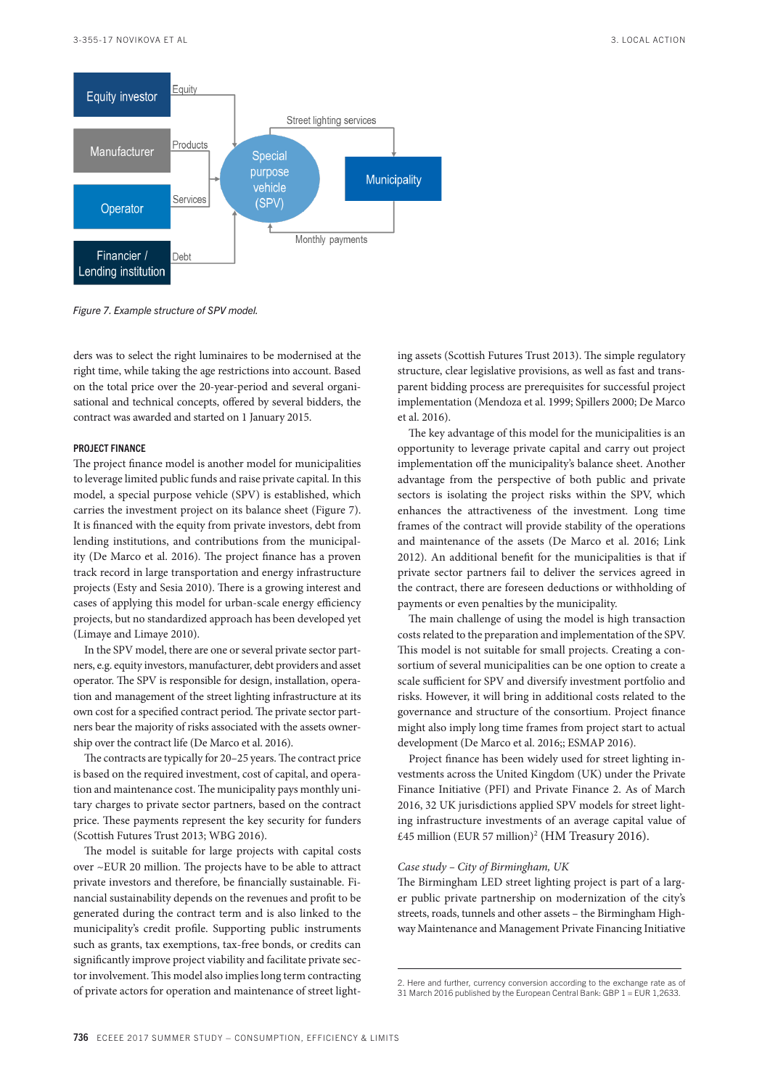

*Figure 7. Example structure of SPV model.*

ders was to select the right luminaires to be modernised at the right time, while taking the age restrictions into account. Based on the total price over the 20-year-period and several organisational and technical concepts, offered by several bidders, the contract was awarded and started on 1 January 2015.

# PROJECT FINANCE

The project finance model is another model for municipalities to leverage limited public funds and raise private capital. In this model, a special purpose vehicle (SPV) is established, which carries the investment project on its balance sheet (Figure 7). It is financed with the equity from private investors, debt from lending institutions, and contributions from the municipality (De Marco et al. 2016). The project finance has a proven track record in large transportation and energy infrastructure projects (Esty and Sesia 2010). There is a growing interest and cases of applying this model for urban-scale energy efficiency projects, but no standardized approach has been developed yet (Limaye and Limaye 2010).

In the SPV model, there are one or several private sector partners, e.g. equity investors, manufacturer, debt providers and asset operator. The SPV is responsible for design, installation, operation and management of the street lighting infrastructure at its own cost for a specified contract period. The private sector partners bear the majority of risks associated with the assets ownership over the contract life (De Marco et al. 2016).

The contracts are typically for 20–25 years. The contract price is based on the required investment, cost of capital, and operation and maintenance cost. The municipality pays monthly unitary charges to private sector partners, based on the contract price. These payments represent the key security for funders (Scottish Futures Trust 2013; WBG 2016).

The model is suitable for large projects with capital costs over ~EUR 20 million. The projects have to be able to attract private investors and therefore, be financially sustainable. Financial sustainability depends on the revenues and profit to be generated during the contract term and is also linked to the municipality's credit profile. Supporting public instruments such as grants, tax exemptions, tax-free bonds, or credits can significantly improve project viability and facilitate private sector involvement. This model also implies long term contracting of private actors for operation and maintenance of street light-

ing assets (Scottish Futures Trust 2013). The simple regulatory structure, clear legislative provisions, as well as fast and transparent bidding process are prerequisites for successful project implementation (Mendoza et al. 1999; Spillers 2000; De Marco et al. 2016).

The key advantage of this model for the municipalities is an opportunity to leverage private capital and carry out project implementation off the municipality's balance sheet. Another advantage from the perspective of both public and private sectors is isolating the project risks within the SPV, which enhances the attractiveness of the investment. Long time frames of the contract will provide stability of the operations and maintenance of the assets (De Marco et al. 2016; Link 2012). An additional benefit for the municipalities is that if private sector partners fail to deliver the services agreed in the contract, there are foreseen deductions or withholding of payments or even penalties by the municipality.

The main challenge of using the model is high transaction costs related to the preparation and implementation of the SPV. This model is not suitable for small projects. Creating a consortium of several municipalities can be one option to create a scale sufficient for SPV and diversify investment portfolio and risks. However, it will bring in additional costs related to the governance and structure of the consortium. Project finance might also imply long time frames from project start to actual development (De Marco et al. 2016;; ESMAP 2016).

Project finance has been widely used for street lighting investments across the United Kingdom (UK) under the Private Finance Initiative (PFI) and Private Finance 2. As of March 2016, 32 UK jurisdictions applied SPV models for street lighting infrastructure investments of an average capital value of £45 million (EUR 57 million)<sup>2</sup> (HM Treasury 2016).

# *Case study – City of Birmingham, UK*

The Birmingham LED street lighting project is part of a larger public private partnership on modernization of the city's streets, roads, tunnels and other assets – the Birmingham Highway Maintenance and Management Private Financing Initiative

<sup>2.</sup> Here and further, currency conversion according to the exchange rate as of 31 March 2016 published by the European Central Bank: GBP 1 = EUR 1,2633.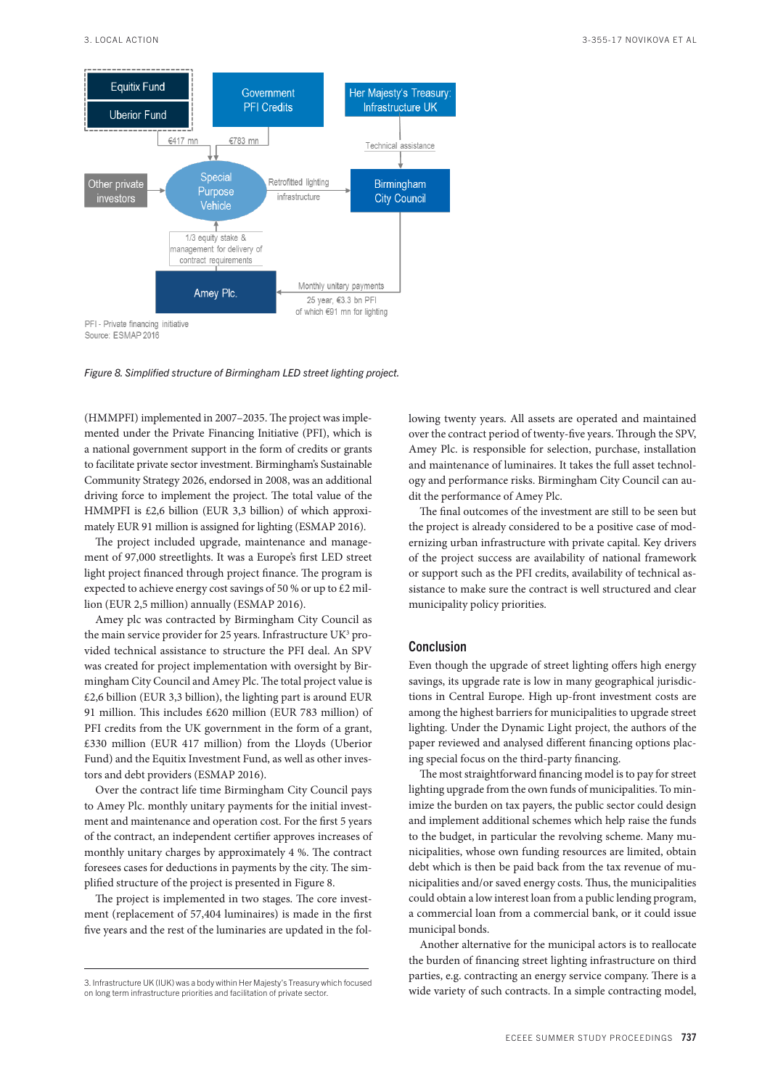

*Figure 8. Simplified structure of Birmingham LED street lighting project.*

(HMMPFI) implemented in 2007–2035. The project was implemented under the Private Financing Initiative (PFI), which is a national government support in the form of credits or grants to facilitate private sector investment. Birmingham's Sustainable Community Strategy 2026, endorsed in 2008, was an additional driving force to implement the project. The total value of the HMMPFI is £2,6 billion (EUR 3,3 billion) of which approximately EUR 91 million is assigned for lighting (ESMAP 2016).

The project included upgrade, maintenance and management of 97,000 streetlights. It was a Europe's first LED street light project financed through project finance. The program is expected to achieve energy cost savings of 50 % or up to £2 million (EUR 2,5 million) annually (ESMAP 2016).

Amey plc was contracted by Birmingham City Council as the main service provider for 25 years. Infrastructure UK<sup>3</sup> provided technical assistance to structure the PFI deal. An SPV was created for project implementation with oversight by Birmingham City Council and Amey Plc. The total project value is £2,6 billion (EUR 3,3 billion), the lighting part is around EUR 91 million. This includes £620 million (EUR 783 million) of PFI credits from the UK government in the form of a grant, £330 million (EUR 417 million) from the Lloyds (Uberior Fund) and the Equitix Investment Fund, as well as other investors and debt providers (ESMAP 2016).

Over the contract life time Birmingham City Council pays to Amey Plc. monthly unitary payments for the initial investment and maintenance and operation cost. For the first 5 years of the contract, an independent certifier approves increases of monthly unitary charges by approximately 4 %. The contract foresees cases for deductions in payments by the city. The simplified structure of the project is presented in Figure 8.

The project is implemented in two stages. The core investment (replacement of 57,404 luminaires) is made in the first five years and the rest of the luminaries are updated in the following twenty years. All assets are operated and maintained over the contract period of twenty-five years. Through the SPV, Amey Plc. is responsible for selection, purchase, installation and maintenance of luminaires. It takes the full asset technology and performance risks. Birmingham City Council can audit the performance of Amey Plc.

The final outcomes of the investment are still to be seen but the project is already considered to be a positive case of modernizing urban infrastructure with private capital. Key drivers of the project success are availability of national framework or support such as the PFI credits, availability of technical assistance to make sure the contract is well structured and clear municipality policy priorities.

# Conclusion

Even though the upgrade of street lighting offers high energy savings, its upgrade rate is low in many geographical jurisdictions in Central Europe. High up-front investment costs are among the highest barriers for municipalities to upgrade street lighting. Under the Dynamic Light project, the authors of the paper reviewed and analysed different financing options placing special focus on the third-party financing.

The most straightforward financing model is to pay for street lighting upgrade from the own funds of municipalities. To minimize the burden on tax payers, the public sector could design and implement additional schemes which help raise the funds to the budget, in particular the revolving scheme. Many municipalities, whose own funding resources are limited, obtain debt which is then be paid back from the tax revenue of municipalities and/or saved energy costs. Thus, the municipalities could obtain a low interest loan from a public lending program, a commercial loan from a commercial bank, or it could issue municipal bonds.

Another alternative for the municipal actors is to reallocate the burden of financing street lighting infrastructure on third parties, e.g. contracting an energy service company. There is a wide variety of such contracts. In a simple contracting model,

<sup>3.</sup> Infrastructure UK (IUK) was a body within Her Majesty's Treasury which focused on long term infrastructure priorities and facilitation of private sector.